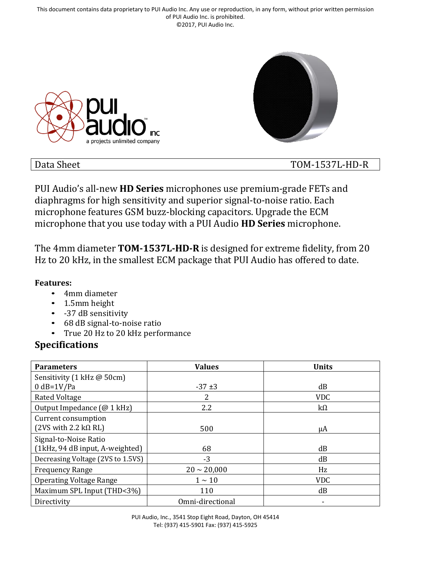This document contains data proprietary to PUI Audio Inc. Any use or reproduction, in any form, without prior written permission of PUI Audio Inc. is prohibited. ©2017, PUI Audio Inc.





#### Data Sheet TOM-1537L-HD-R

PUI Audio's all-new **HD Series** microphones use premium-grade FETs and diaphragms for high sensitivity and superior signal-to-noise ratio. Each microphone features GSM buzz-blocking capacitors. Upgrade the ECM microphone that you use today with a PUI Audio **HD Series** microphone.

The 4mm diameter **TOM-1537L-HD-R** is designed for extreme fidelity, from 20 Hz to 20 kHz, in the smallest ECM package that PUI Audio has offered to date.

#### **Features:**

- 4mm diameter
- 1.5mm height
- -37 dB sensitivity
- 68 dB signal-to-noise ratio
- True 20 Hz to 20 kHz performance

#### **Specifications**

| <b>Parameters</b>                                    | <b>Values</b>    | <b>Units</b> |
|------------------------------------------------------|------------------|--------------|
| Sensitivity (1 kHz @ 50cm)                           |                  |              |
| $0$ dB=1V/Pa                                         | $-37+3$          | dB           |
| Rated Voltage                                        | 2                | <b>VDC</b>   |
| Output Impedance (@ 1 kHz)                           | 2.2              | $k\Omega$    |
| Current consumption                                  |                  |              |
| $(2VS \text{ with } 2.2 \text{ k}\Omega \text{ RL})$ | 500              | μA           |
| Signal-to-Noise Ratio                                |                  |              |
| (1kHz, 94 dB input, A-weighted)                      | 68               | dB           |
| Decreasing Voltage (2VS to 1.5VS)                    | $-3$             | dB           |
| <b>Frequency Range</b>                               | $20 \sim 20,000$ | Hz           |
| <b>Operating Voltage Range</b>                       | $1 \sim 10$      | <b>VDC</b>   |
| Maximum SPL Input (THD<3%)                           | 110              | dB           |
| Directivity                                          | Omni-directional |              |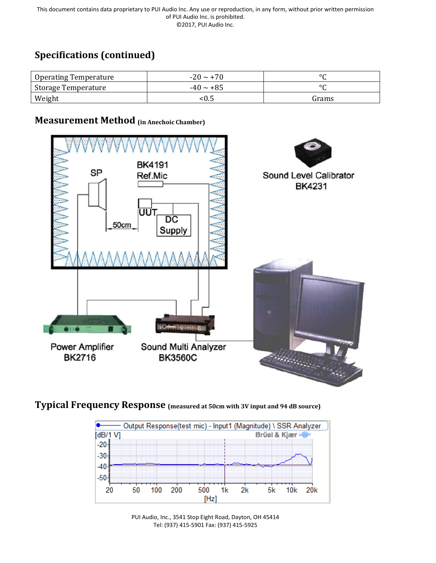# **Specifications (continued)**

| Operating Temperature | $-20 \sim +70$ | $\circ$ |
|-----------------------|----------------|---------|
| Storage Temperature   | $-40 \sim +85$ | $\circ$ |
| Weight                | <0.5           | Grams   |



#### **Measurement Method (in Anechoic Chamber)**

**Typical Frequency Response (measured at 50cm with 3V input and 94 dB source)**



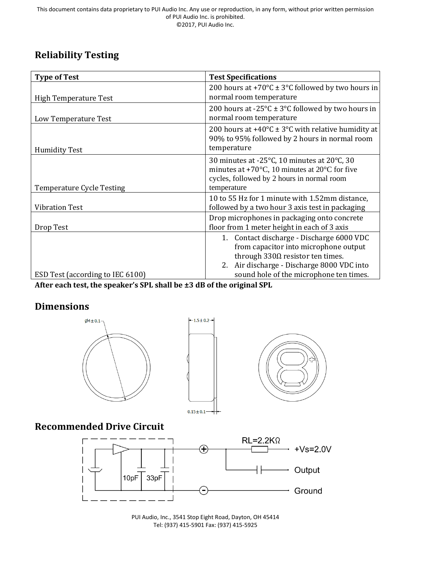# **Reliability Testing**

| <b>Type of Test</b>              | <b>Test Specifications</b>                                                                                                                                                    |  |
|----------------------------------|-------------------------------------------------------------------------------------------------------------------------------------------------------------------------------|--|
|                                  | 200 hours at +70 $\textdegree$ C ± 3 $\textdegree$ C followed by two hours in                                                                                                 |  |
| <b>High Temperature Test</b>     | normal room temperature                                                                                                                                                       |  |
|                                  | 200 hours at -25 $\textdegree$ C ± 3 $\textdegree$ C followed by two hours in<br>normal room temperature                                                                      |  |
| Low Temperature Test             |                                                                                                                                                                               |  |
|                                  | 200 hours at +40 $\degree$ C ± 3 $\degree$ C with relative humidity at<br>90% to 95% followed by 2 hours in normal room                                                       |  |
| <b>Humidity Test</b>             | temperature                                                                                                                                                                   |  |
| <b>Temperature Cycle Testing</b> | 30 minutes at -25°C, 10 minutes at 20°C, 30<br>minutes at +70 $\degree$ C, 10 minutes at 20 $\degree$ C for five<br>cycles, followed by 2 hours in normal room<br>temperature |  |
| <b>Vibration Test</b>            | 10 to 55 Hz for 1 minute with 1.52mm distance,<br>followed by a two hour 3 axis test in packaging                                                                             |  |
| Drop Test                        | Drop microphones in packaging onto concrete<br>floor from 1 meter height in each of 3 axis                                                                                    |  |
|                                  | 1. Contact discharge - Discharge 6000 VDC<br>from capacitor into microphone output<br>through $330\Omega$ resistor ten times.<br>2. Air discharge - Discharge 8000 VDC into   |  |
| ESD Test (according to IEC 6100) | sound hole of the microphone ten times.                                                                                                                                       |  |

**After each test, the speaker's SPL shall be ±3 dB of the original SPL**

### **Dimensions**



PUI Audio, Inc., 3541 Stop Eight Road, Dayton, OH 45414 Tel: (937) 415-5901 Fax: (937) 415-5925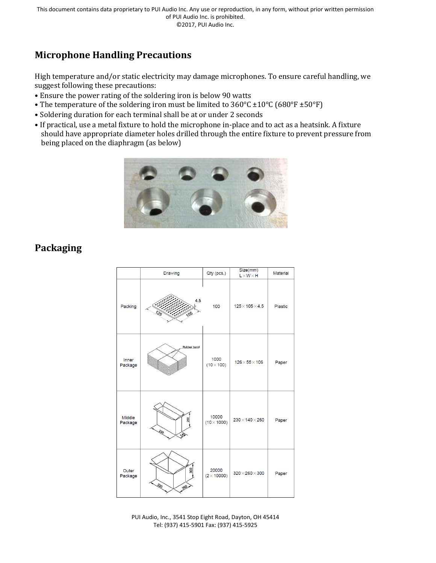## **Microphone Handling Precautions**

High temperature and/or static electricity may damage microphones. To ensure careful handling, we suggest following these precautions:

- Ensure the power rating of the soldering iron is below 90 watts
- The temperature of the soldering iron must be limited to  $360^{\circ}$ C  $\pm 10^{\circ}$ C (680°F  $\pm 50^{\circ}$ F)
- Soldering duration for each terminal shall be at or under 2 seconds
- If practical, use a metal fixture to hold the microphone in-place and to act as a heatsink. A fixture should have appropriate diameter holes drilled through the entire fixture to prevent pressure from being placed on the diaphragm (as below)



## **Packaging**

|                          | Drawing           | Qty (pcs.)                  | Size(mm)<br>$L \times W \times H$ | <b>Material</b> |
|--------------------------|-------------------|-----------------------------|-----------------------------------|-----------------|
| Packing                  | 4.5<br>125<br>105 | 100                         | $125 \times 105 \times 4.5$       | <b>Plastic</b>  |
| Inner<br>Package         | Rubber band       | 1000<br>$(10 \times 100)$   | $126\times55\times106$            | Paper           |
| <b>Middle</b><br>Package | 260<br>230<br>涵   | 10000<br>$(10 \times 1000)$ | $230\times140\times260$           | Paper           |
| Outer<br>Package         | 300<br>SEO<br>260 | 20000<br>$(2 \times 10000)$ | $320\times260\times300$           | Paper           |

PUI Audio, Inc., 3541 Stop Eight Road, Dayton, OH 45414 Tel: (937) 415-5901 Fax: (937) 415-5925